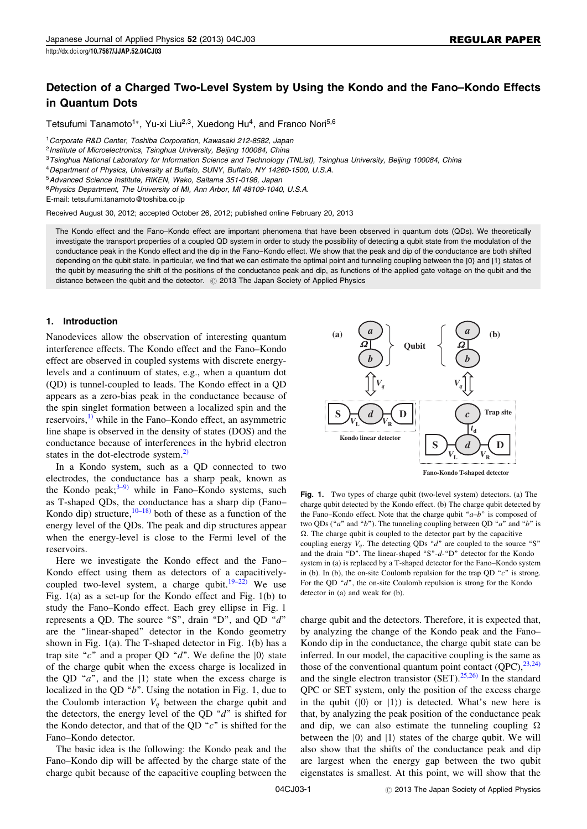# Detection of a Charged Two-Level System by Using the Kondo and the Fano–Kondo Effects in Quantum Dots

Tetsufumi Tanamoto<sup>1</sup>\*, Yu-xi Liu<sup>2,3</sup>, Xuedong Hu<sup>4</sup>, and Franco Nori<sup>5,6</sup>

<sup>1</sup> Corporate R&D Center, Toshiba Corporation, Kawasaki 212-8582, Japan

<sup>3</sup>Tsinghua National Laboratory for Information Science and Technology (TNList), Tsinghua University, Beijing 100084, China

<sup>4</sup>Department of Physics, University at Buffalo, SUNY, Buffalo, NY 14260-1500, U.S.A.

<sup>5</sup>Advanced Science Institute, RIKEN, Wako, Saitama 351-0198, Japan

<sup>6</sup> Physics Department, The University of MI, Ann Arbor, MI 48109-1040, U.S.A.

E-mail: tetsufumi.tanamoto@toshiba.co.jp

Received August 30, 2012; accepted October 26, 2012; published online February 20, 2013

The Kondo effect and the Fano–Kondo effect are important phenomena that have been observed in quantum dots (QDs). We theoretically investigate the transport properties of a coupled QD system in order to study the possibility of detecting a qubit state from the modulation of the conductance peak in the Kondo effect and the dip in the Fano–Kondo effect. We show that the peak and dip of the conductance are both shifted depending on the qubit state. In particular, we find that we can estimate the optimal point and tunneling coupling between the [0] and [1] states of the qubit by measuring the shift of the positions of the conductance peak and dip, as functions of the applied gate voltage on the qubit and the distance between the qubit and the detector.  $\degree$  2013 The Japan Society of Applied Physics

# 1. Introduction

Nanodevices allow the observation of interesting quantum interference effects. The Kondo effect and the Fano–Kondo effect are observed in coupled systems with discrete energylevels and a continuum of states, e.g., when a quantum dot (QD) is tunnel-coupled to leads. The Kondo effect in a QD appears as a zero-bias peak in the conductance because of the spin singlet formation between a localized spin and the reservoirs, $\frac{1}{1}$  while in the Fano–Kondo effect, an asymmetric line shape is observed in the density of states (DOS) and the conductance because of interferences in the hybrid electron states in the dot-electrode system. $^{2)}$  $^{2)}$  $^{2)}$ 

In a Kondo system, such as a QD connected to two electrodes, the conductance has a sharp peak, known as the Kondo peak; $3-9$ ) while in Fano–Kondo systems, such as T-shaped QDs, the conductance has a sharp dip (Fano– Kondo dip) structure,  $10-18$  both of these as a function of the energy level of the QDs. The peak and dip structures appear when the energy-level is close to the Fermi level of the reservoirs.

Here we investigate the Kondo effect and the Fano– Kondo effect using them as detectors of a capacitively-coupled two-level system, a charge qubit.<sup>[19–22\)](#page-7-0)</sup> We use Fig. 1(a) as a set-up for the Kondo effect and Fig. 1(b) to study the Fano–Kondo effect. Each grey ellipse in Fig. 1 represents a QD. The source "S", drain "D", and QD "d" are the ''linear-shaped'' detector in the Kondo geometry shown in Fig. 1(a). The T-shaped detector in Fig. 1(b) has a trap site "c" and a proper QD "d". We define the  $|0\rangle$  state of the charge qubit when the excess charge is localized in the QD " $a$ ", and the  $|1\rangle$  state when the excess charge is localized in the QD  $"b"$ . Using the notation in Fig. 1, due to the Coulomb interaction  $V_q$  between the charge qubit and the detectors, the energy level of the QD " $d$ " is shifted for the Kondo detector, and that of the QD " $c$ " is shifted for the Fano–Kondo detector.

The basic idea is the following: the Kondo peak and the Fano–Kondo dip will be affected by the charge state of the charge qubit because of the capacitive coupling between the



Fig. 1. Two types of charge qubit (two-level system) detectors. (a) The charge qubit detected by the Kondo effect. (b) The charge qubit detected by the Fano–Kondo effect. Note that the charge qubit " $a-b$ " is composed of two QDs ("a" and "b"). The tunneling coupling between QD "a" and "b" is coupling energy  $V_q$ . The detecting QDs "d" are coupled to the source "S"  $\Omega$ . The charge qubit is coupled to the detector part by the capacitive and the drain "D". The linear-shaped "S"-d-"D" detector for the Kondo system in (a) is replaced by a T-shaped detector for the Fano–Kondo system in (b). In (b), the on-site Coulomb repulsion for the trap QD  $\degree$ c" is strong. For the QD  $\alpha$ <sup>\*</sup>d<sup>\*</sup>, the on-site Coulomb repulsion is strong for the Kondo detector in (a) and weak for (b).

charge qubit and the detectors. Therefore, it is expected that, by analyzing the change of the Kondo peak and the Fano– Kondo dip in the conductance, the charge qubit state can be inferred. In our model, the capacitive coupling is the same as those of the conventional quantum point contact  $(QPC)$ ,  $^{23,24}$ ) and the single electron transistor  $(SET)$ .<sup>[25,26\)](#page-7-0)</sup> In the standard QPC or SET system, only the position of the excess charge in the qubit  $(|0\rangle$  or  $|1\rangle$ ) is detected. What's new here is that, by analyzing the peak position of the conductance peak and dip, we can also estimate the tunneling coupling  $\Omega$ <br>between the  $|0\rangle$  and  $|1\rangle$  states of the charge qubit. We will between the  $|0\rangle$  and  $|1\rangle$  states of the charge qubit. We will also show that the shifts of the conductance peak and dip are largest when the energy gap between the two qubit eigenstates is smallest. At this point, we will show that the

<sup>&</sup>lt;sup>2</sup> Institute of Microelectronics, Tsinghua University, Beijing 100084, China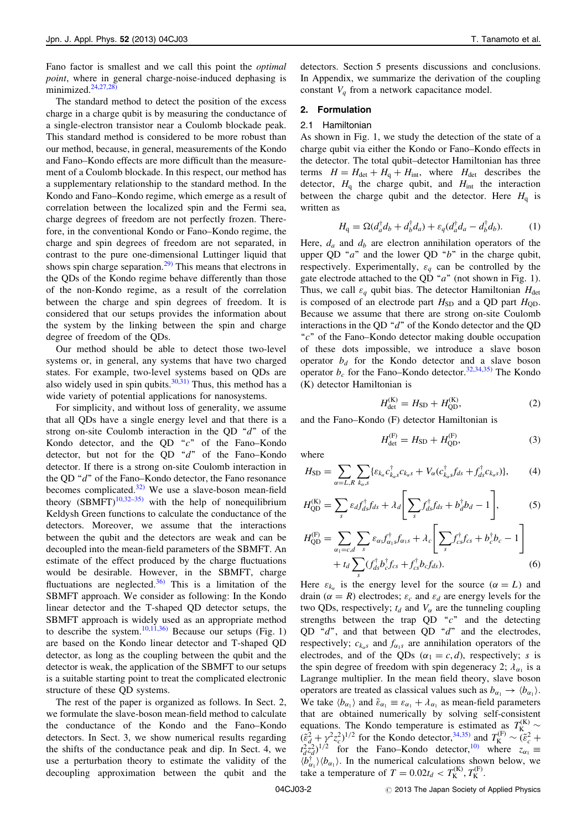Fano factor is smallest and we call this point the optimal point, where in general charge-noise-induced dephasing is minimized. $24,27,28$ )

The standard method to detect the position of the excess charge in a charge qubit is by measuring the conductance of a single-electron transistor near a Coulomb blockade peak. This standard method is considered to be more robust than our method, because, in general, measurements of the Kondo and Fano–Kondo effects are more difficult than the measurement of a Coulomb blockade. In this respect, our method has a supplementary relationship to the standard method. In the Kondo and Fano–Kondo regime, which emerge as a result of correlation between the localized spin and the Fermi sea, charge degrees of freedom are not perfectly frozen. Therefore, in the conventional Kondo or Fano–Kondo regime, the charge and spin degrees of freedom are not separated, in contrast to the pure one-dimensional Luttinger liquid that shows spin charge separation.<sup>[29\)](#page-7-0)</sup> This means that electrons in the QDs of the Kondo regime behave differently than those of the non-Kondo regime, as a result of the correlation between the charge and spin degrees of freedom. It is considered that our setups provides the information about the system by the linking between the spin and charge degree of freedom of the QDs.

Our method should be able to detect those two-level systems or, in general, any systems that have two charged states. For example, two-level systems based on QDs are also widely used in spin qubits. $30,31)$  Thus, this method has a wide variety of potential applications for nanosystems.

For simplicity, and without loss of generality, we assume that all QDs have a single energy level and that there is a strong on-site Coulomb interaction in the QD  $\alpha$ <sup>"</sup> of the Kondo detector, and the QD  $\degree$ c" of the Fano–Kondo detector, but not for the QD "d" of the Fano-Kondo detector. If there is a strong on-site Coulomb interaction in the QD "d" of the Fano–Kondo detector, the Fano resonance becomes complicated. $32)$  We use a slave-boson mean-field theory  $(SBMFT)^{10,32-35}$  with the help of nonequilibrium Keldysh Green functions to calculate the conductance of the detectors. Moreover, we assume that the interactions between the qubit and the detectors are weak and can be decoupled into the mean-field parameters of the SBMFT. An estimate of the effect produced by the charge fluctuations would be desirable. However, in the SBMFT, charge fluctuations are neglected. $36$  This is a limitation of the SBMFT approach. We consider as following: In the Kondo linear detector and the T-shaped QD detector setups, the SBMFT approach is widely used as an appropriate method to describe the system.<sup>10,11,36</sup> Because our setups (Fig. 1) are based on the Kondo linear detector and T-shaped QD detector, as long as the coupling between the qubit and the detector is weak, the application of the SBMFT to our setups is a suitable starting point to treat the complicated electronic structure of these QD systems.

The rest of the paper is organized as follows. In Sect. 2, we formulate the slave-boson mean-field method to calculate the conductance of the Kondo and the Fano–Kondo detectors. In Sect. 3, we show numerical results regarding the shifts of the conductance peak and dip. In Sect. 4, we use a perturbation theory to estimate the validity of the decoupling approximation between the qubit and the detectors. Section 5 presents discussions and conclusions. In Appendix, we summarize the derivation of the coupling constant  $V_q$  from a network capacitance model.

#### 2. Formulation

## 2.1 Hamiltonian

As shown in Fig. 1, we study the detection of the state of a charge qubit via either the Kondo or Fano–Kondo effects in the detector. The total qubit–detector Hamiltonian has three terms  $H = H_{\text{det}} + H_{\text{q}} + H_{\text{int}}$ , where  $H_{\text{det}}$  describes the detector,  $H<sub>q</sub>$  the charge qubit, and  $H<sub>int</sub>$  the interaction between the charge qubit and the detector. Here  $H<sub>q</sub>$  is written as

$$
H_{\mathbf{q}} = \Omega(d_a^{\dagger} d_b + d_b^{\dagger} d_a) + \varepsilon_q (d_a^{\dagger} d_a - d_b^{\dagger} d_b). \tag{1}
$$

Here,  $d_a$  and  $d_b$  are electron annihilation operators of the upper QD " $a$ " and the lower QD " $b$ " in the charge qubit, respectively. Experimentally,  $\varepsilon_a$  can be controlled by the gate electrode attached to the QD " $a$ " (not shown in Fig. 1). Thus, we call  $\varepsilon_q$  qubit bias. The detector Hamiltonian  $H_{\text{det}}$ is composed of an electrode part  $H_{SD}$  and a QD part  $H_{OD}$ . Because we assume that there are strong on-site Coulomb interactions in the QD " $d$ " of the Kondo detector and the QD " $c$ " of the Fano–Kondo detector making double occupation of these dots impossible, we introduce a slave boson operator  $b_d$  for the Kondo detector and a slave boson operator  $b_c$  for the Fano–Kondo detector.<sup>[32,34,35\)](#page-7-0)</sup> The Kondo (K) detector Hamiltonian is

$$
H_{\text{det}}^{(K)} = H_{\text{SD}} + H_{\text{QD}}^{(K)},\tag{2}
$$

and the Fano–Kondo (F) detector Hamiltonian is

$$
H_{\text{det}}^{(F)} = H_{\text{SD}} + H_{\text{QD}}^{(F)},\tag{3}
$$

where

$$
H_{\rm SD} = \sum_{\alpha=L,R} \sum_{k_{\alpha},s} \{ \varepsilon_{k_{\alpha}} c_{k_{\alpha}s}^{\dagger} c_{k_{\alpha}s} + V_{\alpha} (c_{k_{\alpha}s}^{\dagger} f_{ds} + f_{ds}^{\dagger} c_{k_{\alpha}s}) \}, \tag{4}
$$

$$
H_{\text{QD}}^{(\text{K})} = \sum_{s} \varepsilon_d f_{ds}^{\dagger} f_{ds} + \lambda_d \left[ \sum_{s} f_{ds}^{\dagger} f_{ds} + b_d^{\dagger} b_d - 1 \right],\tag{5}
$$

$$
H_{\text{QD}}^{(\text{F})} = \sum_{\alpha_1 = c,d} \sum_s \varepsilon_{\alpha_1} f_{\alpha_1s}^{\dagger} f_{\alpha_1s} + \lambda_c \left[ \sum_s f_{cs}^{\dagger} f_{cs} + b_c^{\dagger} b_c - 1 \right] + t_d \sum_s (f_{ds}^{\dagger} b_c^{\dagger} f_{cs} + f_{cs}^{\dagger} b_c f_{ds}). \tag{6}
$$

Here  $\varepsilon_{k_{\alpha}}$  is the energy level for the source  $(\alpha = L)$  and<br>drain  $(\alpha - R)$  electrodes: s, and s, are energy levels for the drain ( $\alpha = R$ ) electrodes;  $\varepsilon_c$  and  $\varepsilon_d$  are energy levels for the two ODs respectively: to and V are the tunneling coupling two QDs, respectively;  $t_d$  and  $V_\alpha$  are the tunneling coupling strengths between the trap QD  $\degree$ c" and the detecting QD  $\degree d$ ", and that between QD  $\degree d$ " and the electrodes, respectively;  $c_{k_\alpha s}$  and  $f_{\alpha_1 s}$  are annihilation operators of the electrodes, and of the QDs  $(\alpha_1 = c, d)$ , respectively; s is the spin degree of freedom with spin degeneracy 2;  $\lambda_{\alpha_1}$  is a Lagrange multiplier. In the mean field theory, slave boson operators are treated as classical values such as  $b_{\alpha_1} \rightarrow \langle b_{\alpha_1} \rangle$ .<br>We take  $\langle h \rangle$  and  $\tilde{s} = s_+ \pm \lambda$  as mean-field parameters We take  $\langle b_{\alpha_1} \rangle$  and  $\tilde{\varepsilon}_{\alpha_1} \equiv \varepsilon_{\alpha_1} + \lambda_{\alpha_1}$  as mean-field parameters<br>that are obtained numerically by solving self-consistent that are obtained numerically by solving self-consistent equations. The Kondo temperature is estimated as  $T_K^{(K)} \sim (\tilde{\epsilon}_d^2 + \gamma^2 z_c^2)^{1/2}$  for the Kondo detector,<sup>[34,35\)](#page-7-0)</sup> and  $T_K^{(F)} \sim (\tilde{\epsilon}_c^2 + t_d^2 z_d^2)^{1/2}$  for the Fano-Kondo detector,<sup>[10\)](#page-7-0)</sup> where  $z_{\alpha_1} \equiv \langle b_{\alpha_1}^{\dagger} \rangle$ take a temperature of  $T = 0.02t_d < T_{\rm K}^{(\rm K)}$ ,  $T_{\rm K}^{(\rm F)}$ .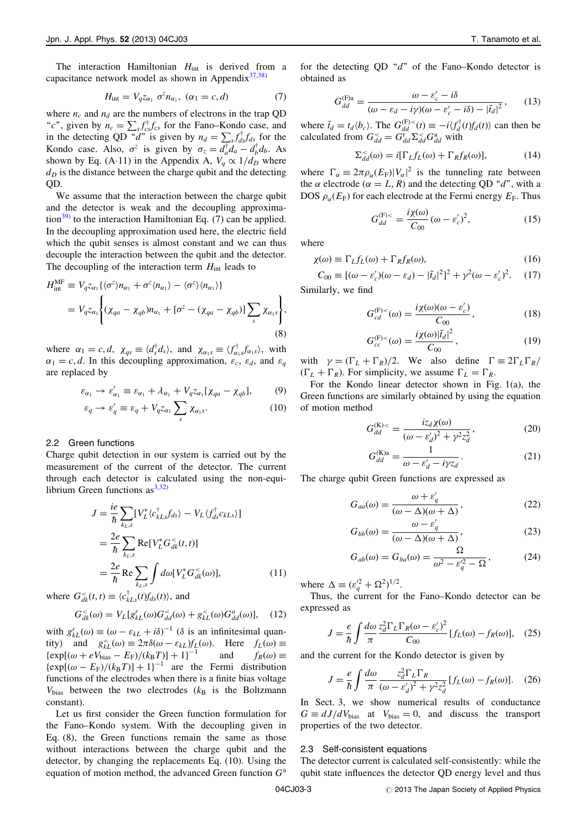The interaction Hamiltonian  $H_{int}$  is derived from a capacitance network model as shown in Appendix $37,38$ )

$$
H_{\rm int} = V_q z_{\alpha_1} \sigma^z n_{\alpha_1}, \ (\alpha_1 = c, d) \tag{7}
$$

where  $n_c$  and  $n_d$  are the numbers of electrons in the trap QD "c", given by  $n_c = \sum_{s} f_{cs}^{\dagger} f_{cs}^{\dagger}$  for the Fano–Kondo case, and<br>in the detecting OD "d" is given by  $n_c = \sum f_{\perp}^{\dagger} f_{\perp}$  for the in the detecting QD "d" is given by  $n_d = \sum_{s} f_{ds}^{\dagger} f_{ds}^{\dagger}$  for the Kondo case. Also  $\sigma^z$  is given by  $\sigma = d^{\dagger} d = d^{\dagger} d$ . As Kondo case. Also,  $\sigma^z$  is given by  $\sigma_z = d_d^{\dagger} d_a - d_b^{\dagger} d_b$ . As shown by Eq. (A-11) in the Appendix A,  $V_q \propto 1/d_D$  where  $d<sub>D</sub>$  is the distance between the charge qubit and the detecting QD.

We assume that the interaction between the charge qubit and the detector is weak and the decoupling approxima-tion<sup>[39\)](#page-7-0)</sup> to the interaction Hamiltonian Eq. (7) can be applied. In the decoupling approximation used here, the electric field which the qubit senses is almost constant and we can thus decouple the interaction between the qubit and the detector. The decoupling of the interaction term  $H_{int}$  leads to

$$
H_{\text{int}}^{\text{MF}} \equiv V_q z_{\alpha_1} \{ \langle \sigma^z \rangle n_{\alpha_1} + \sigma^z \langle n_{\alpha_1} \rangle - \langle \sigma^z \rangle \langle n_{\alpha_1} \rangle \}
$$
  
=  $V_q z_{\alpha_1} \left\{ ( \chi_{qa} - \chi_{qb} ) n_{\alpha_1} + [\sigma^z - ( \chi_{qa} - \chi_{qb} ) ] \sum_s \chi_{\alpha_1 s} \right\},$   
(8)

where  $\alpha_1 = c, d, \chi_{qs} \equiv \langle d_s^{\dagger} d_s \rangle$ , and  $\chi_{\alpha_1 s} \equiv \langle f_{\alpha_1 s}^{\dagger} f_{\alpha_1 s} \rangle$ , with  $\alpha_1 = c, d$ . In this decoupling approximation,  $\varepsilon_c$ ,  $\varepsilon_d$ , and  $\varepsilon_q$ are replaced by

$$
\varepsilon_{\alpha_1} \to \varepsilon'_{\alpha_1} \equiv \varepsilon_{\alpha_1} + \lambda_{\alpha_1} + V_q z_{\alpha_1} [ \chi_{qa} - \chi_{qb} ], \qquad (9)
$$

$$
\varepsilon_q \to \varepsilon_q' \equiv \varepsilon_q + V_q z_{\alpha_1} \sum_s \chi_{\alpha_1 s}.
$$
 (10)

#### 2.2 Green functions

Charge qubit detection in our system is carried out by the measurement of the current of the detector. The current through each detector is calculated using the non-equilibrium Green functions as  $3,32)$ 

$$
J = \frac{ie}{\hbar} \sum_{k_L, s} [V_L^* \langle c_{kLs}^\dagger f_{ds} \rangle - V_L \langle f_{ds}^\dagger c_{kLs} \rangle]
$$
  

$$
= \frac{2e}{\hbar} \sum_{k_L, s} \text{Re}[V_L^* G_{dk}^*(t, t)]
$$
  

$$
= \frac{2e}{\hbar} \text{Re} \sum_{k_L, s} \int d\omega [V_L^* G_{dk}^*(\omega)], \qquad (11)
$$

where  $G_{dk}^{\leq}(t,t) \equiv \langle c_{kLs}^{\dagger}(t) f_{ds}(t) \rangle$ , and

$$
G_{dk}^{<}(\omega) = V_L[g_{kL}^r(\omega)G_{dd}^{<}(\omega) + g_{kL}^{<}(\omega)G_{dd}^a(\omega)], \quad (12)
$$

with  $g_{k}(a) \equiv (\omega - \varepsilon_{kL} + i\delta)^{-1}$  ( $\delta$  is an infinitesimal quan-<br>tity) and  $g \leq (\omega) = 2\pi \delta(\omega - \varepsilon_k) f_{k}(\omega)$ . Here  $f_{k}(\omega) =$ tity) and  $g_{kL}^{\le}( \omega) \equiv 2\pi \delta(\omega - \varepsilon_{kL}) f_L(\omega)$ . Here  $f_L(\omega) \equiv$ <br> $\{ \exp[(\omega + \varepsilon V_L \cdot - F_R)/((k_B T)] + 1]^{-1}$  and  $f_R(\omega) =$  $\{ \exp[(\omega + eV_{bias} - E_F)/(k_BT)] + 1\}^{-1}$ <sup>-1</sup> and  $f_R(\omega) \equiv$ <br>the Fermi distribution  $\{\exp[(\omega - E_F)/(k_B T)] + 1\}^{-1}$  are the Fermi distribution<br>functions of the electrodes when there is a finite bias voltage functions of the electrodes when there is a finite bias voltage  $V_{bias}$  between the two electrodes ( $k_B$  is the Boltzmann constant).

Let us first consider the Green function formulation for the Fano–Kondo system. With the decoupling given in Eq. (8), the Green functions remain the same as those without interactions between the charge qubit and the detector, by changing the replacements Eq. (10). Using the equation of motion method, the advanced Green function  $G^a$ 

for the detecting QD  $\degree d$ " of the Fano–Kondo detector is obtained as

$$
G_{dd}^{(\text{F})a} = \frac{\omega - \varepsilon_c' - i\delta}{(\omega - \varepsilon_d - i\gamma)(\omega - \varepsilon_c' - i\delta) - |\tilde{t}_d|^2},\qquad(13)
$$

where  $\tilde{t}_d = t_d \langle b_c \rangle$ . The  $G_{dd}^{(F)}(t) \equiv -i \langle f_d^{\dagger}(t) f_d(t) \rangle$  can then be calculated from  $G^{\leq} - G^{\leq} \Sigma^{\leq} G^{\leq}$  with calculated from  $G_{dd}^{\leq} = G_{dd}^{\dagger} \Sigma_{dd}^{\leq} G_{dd}^{\dagger}$  with

$$
\Sigma_{dd}^{<}(\omega) = i[\Gamma_{L}f_{L}(\omega) + \Gamma_{R}f_{R}(\omega)],\tag{14}
$$

where  $\Gamma_{\alpha} \equiv 2\pi \rho_{\alpha}(E_{\rm F}) |V_{\alpha}|^2$  is the tunneling rate between<br>the  $\alpha$  electrode  $(\alpha - I - R)$  and the detecting OD "d" with a the  $\alpha$  electrode  $(\alpha = L, R)$  and the detecting QD "d", with a<br>DOS  $\alpha$  (E<sub>p</sub>) for each electrode at the Fermi energy E<sub>p</sub>. Thus DOS  $\rho_{\alpha}(E_{\rm F})$  for each electrode at the Fermi energy  $E_{\rm F}$ . Thus

$$
G_{dd}^{(\text{F})<} = \frac{i\chi(\omega)}{C_{00}} (\omega - \varepsilon_c')^2, \tag{15}
$$

where

$$
\chi(\omega) \equiv \Gamma_L f_L(\omega) + \Gamma_R f_R(\omega),\tag{16}
$$

 $C_{00} \equiv [(\omega - \varepsilon_c')(\omega - \varepsilon_d) - |\tilde{t}_d|^2]^2 + \gamma^2(\omega - \varepsilon_c')^2$  $(17)$ Similarly, we find

$$
G_{cd}^{(\mathrm{F})<}(\omega) = \frac{i\chi(\omega)(\omega - \varepsilon_c')}{C_{00}},\tag{18}
$$

$$
G_{cc}^{(\mathbf{F})<}(\omega) = \frac{i\chi(\omega)|\tilde{t}_d|^2}{C_{00}},\tag{19}
$$

with  $\gamma = (\Gamma_L + \Gamma_R)/2$ . We also define  $\Gamma = 2\Gamma_L\Gamma_R/\Gamma_L + \Gamma_R$ .  $(\Gamma_L + \Gamma_R)$ . For simplicity, we assume  $\Gamma_L = \Gamma_R$ .

For the Kondo linear detector shown in Fig. 1(a), the Green functions are similarly obtained by using the equation of motion method

$$
G_{dd}^{(\text{K})<} = \frac{i z_d \chi(\omega)}{(\omega - \varepsilon_d^{\prime})^2 + \gamma^2 z_d^2},
$$
 (20)

$$
G_{dd}^{(\text{K})a} = \frac{1}{\omega - \varepsilon_d' - i\gamma z_d}.
$$
 (21)

The charge qubit Green functions are expressed as

$$
G_{aa}(\omega) = \frac{\omega + \varepsilon'_q}{(\omega - \Delta)(\omega + \Delta)},
$$
\n(22)

$$
G_{bb}(\omega) = \frac{\omega - \varepsilon_q'}{(\omega - \Delta)(\omega + \Delta)},
$$
\n(23)

$$
G_{ab}(\omega) = G_{ba}(\omega) = \frac{\Omega}{\omega^2 - \varepsilon_q^2 - \Omega},\tag{24}
$$

where  $\Delta \equiv (\varepsilon_q^2 + \Omega^2)^{1/2}$ .<br>Thus the current for

Thus, the current for the Fano–Kondo detector can be expressed as

$$
J = \frac{e}{\hbar} \int \frac{d\omega}{\pi} \frac{z_d^2 \Gamma_L \Gamma_R (\omega - \varepsilon_c')^2}{C_{00}} [f_L(\omega) - f_R(\omega)], \quad (25)
$$
  
and the current for the Kondo detector is given by

$$
J = \frac{e}{\hbar} \int \frac{d\omega}{\pi} \frac{z_d^2 \Gamma_L \Gamma_R}{(\omega - \varepsilon_d')^2 + \gamma^2 z_d^2} [f_L(\omega) - f_R(\omega)]. \quad (26)
$$
  
In Sect. 3, we show numerical results of conductance

 $G \equiv dJ/dV_{bias}$  at  $V_{bias} = 0$ , and discuss the transport properties of the two detector.

#### 2.3 Self-consistent equations

The detector current is calculated self-consistently: while the qubit state influences the detector QD energy level and thus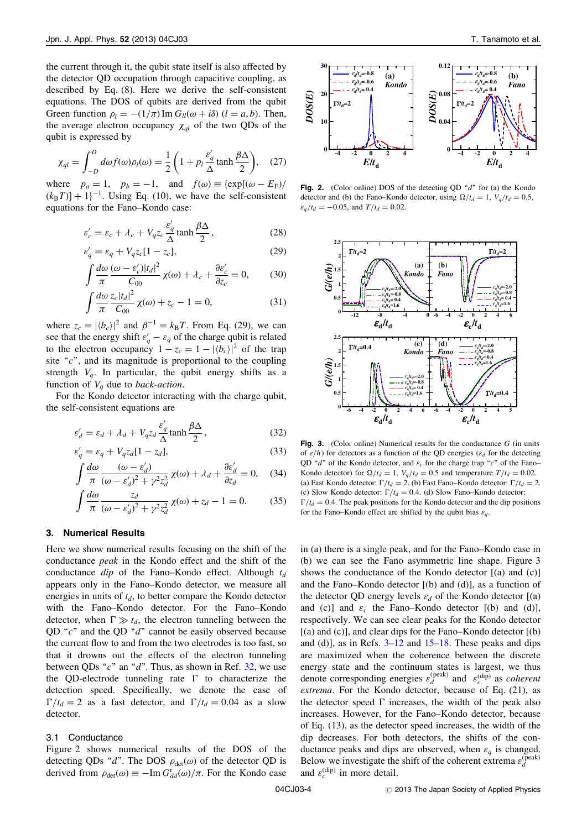the current through it, the qubit state itself is also affected by the detector QD occupation through capacitive coupling, as described by Eq. (8). Here we derive the self-consistent equations. The DOS of qubits are derived from the qubit Green function  $\rho_l = -(1/\pi) \text{Im } G_{ll}(\omega + i\delta)$  ( $l = a, b$ ). Then, the average electron occupancy  $\chi_{al}$  of the two QDs of the qubit is expressed by

$$
\chi_{ql} = \int_{-D}^{D} d\omega f(\omega) \rho_l(\omega) = \frac{1}{2} \left( 1 + p_l \frac{\varepsilon_q'}{\Delta} \tanh \frac{\beta \Delta}{2} \right), \quad (27)
$$

where  $p_a = 1$ ,  $p_b = -1$ , and  $f(\omega) \equiv {\exp[(\omega - E_F)/(\kappa - T)] + 11^{-1}}$  Using Eq. (10) we have the self-consistent  $(k_B T)$  + 1 $^{-1}$ . Using Eq. (10), we have the self-consistent<br>equations for the Eano-Kondo case: equations for the Fano–Kondo case:

$$
\varepsilon'_{c} = \varepsilon_{c} + \lambda_{c} + V_{q} z_{c} \frac{\varepsilon'_{q}}{\Delta} \tanh \frac{\beta \Delta}{2},
$$
\n
$$
s' = s_{c} + V_{q} z_{c} [1 - z_{c}]
$$
\n(28)

$$
\varepsilon'_q = \varepsilon_q + V_q z_c [1 - z_c],\tag{29}
$$

$$
\int \frac{d\omega}{\pi} \frac{(\omega - \varepsilon_c') |t_d|^2}{C_{00}} \chi(\omega) + \lambda_c + \frac{\partial \varepsilon_c'}{\partial z_c} = 0,
$$
 (30)

$$
\int \frac{d\omega}{\pi} \frac{z_c |t_d|^2}{C_{00}} \chi(\omega) + z_c - 1 = 0,
$$
\n(31)

where  $z_c = |\langle b_c \rangle|^2$  and  $\beta^{-1} = k_B T$ . From Eq. (29), we can<br>see that the energy shift  $s' = s$ , of the charge qubit is related see that the energy shift  $\varepsilon'_q - \varepsilon_q$  of the charge qubit is related<br>to the electron occupancy  $1 - z_1 = 1 - |I_b|$ to the electron occupancy  $1 - z_c = 1 - |\langle b_c \rangle|^2$  of the trap site " $c$ ", and its magnitude is proportional to the coupling strength  $V_q$ . In particular, the qubit energy shifts as a function of  $V_a$  due to *back-action*.

For the Kondo detector interacting with the charge qubit, the self-consistent equations are

$$
\varepsilon_d' = \varepsilon_d + \lambda_d + V_q z_d \frac{\varepsilon_q'}{\Delta} \tanh \frac{\beta \Delta}{2},
$$
\n(32)

$$
\varepsilon'_{q} = \varepsilon_{q} + V_{q} z_{d} [1 - z_{d}],
$$
\n
$$
\int_{0}^{t} d\omega_{q} \qquad (\omega - \varepsilon') \qquad \text{as}
$$
\n
$$
\omega_{q} = \frac{1}{2} \left( \frac{1}{\omega_{q}} - \frac{1}{\omega_{q}} \right)
$$
\n
$$
\omega_{q} = \frac{1}{2} \left( \frac{1}{\omega_{q}} - \frac{1}{\omega_{q}} \right)
$$
\n
$$
\omega_{q} = \frac{1}{2} \left( \frac{1}{\omega_{q}} - \frac{1}{\omega_{q}} \right)
$$
\n
$$
\omega_{q} = \frac{1}{2} \left( \frac{1}{\omega_{q}} - \frac{1}{\omega_{q}} \right)
$$
\n
$$
\omega_{q} = \frac{1}{2} \left( \frac{1}{\omega_{q}} - \frac{1}{\omega_{q}} \right)
$$
\n
$$
\omega_{q} = \frac{1}{2} \left( \frac{1}{\omega_{q}} - \frac{1}{\omega_{q}} \right)
$$
\n
$$
\omega_{q} = \frac{1}{2} \left( \frac{1}{\omega_{q}} - \frac{1}{\omega_{q}} \right)
$$
\n
$$
\omega_{q} = \frac{1}{2} \left( \frac{1}{\omega_{q}} - \frac{1}{\omega_{q}} \right)
$$
\n
$$
\omega_{q} = \frac{1}{2} \left( \frac{1}{\omega_{q}} - \frac{1}{\omega_{q}} \right)
$$
\n
$$
\omega_{q} = \frac{1}{2} \left( \frac{1}{\omega_{q}} - \frac{1}{\omega_{q}} \right)
$$
\n
$$
\omega_{q} = \frac{1}{2} \left( \frac{1}{\omega_{q}} - \frac{1}{\omega_{q}} \right)
$$
\n
$$
\omega_{q} = \frac{1}{2} \left( \frac{1}{\omega_{q}} - \frac{1}{\omega_{q}} \right)
$$
\n
$$
\omega_{q} = \frac{1}{2} \left( \frac{1}{\omega_{q}} - \frac{1}{\omega_{q}} \right)
$$
\n
$$
\omega_{q} = \frac{1}{2} \left( \frac{1}{2} - \frac{1}{2} \right)
$$
\n
$$
\omega_{q} = \frac{1}{2
$$

$$
\int \frac{d\omega}{\pi} \frac{(\omega - \varepsilon_d')}{(\omega - \varepsilon_d')^2 + \gamma^2 z_d^2} \chi(\omega) + \lambda_d + \frac{\partial \varepsilon_d'}{\partial z_d} = 0, \quad (34)
$$

$$
\int \frac{d\omega}{\pi} \frac{z_d}{(\omega - \varepsilon_d^{\prime})^2 + \gamma^2 z_d^2} \chi(\omega) + z_d - 1 = 0. \tag{35}
$$

## 3. Numerical Results

Here we show numerical results focusing on the shift of the conductance peak in the Kondo effect and the shift of the conductance  $dip$  of the Fano–Kondo effect. Although  $t_d$ appears only in the Fano–Kondo detector, we measure all energies in units of  $t_d$ , to better compare the Kondo detector with the Fano–Kondo detector. For the Fano–Kondo detector, when  $\Gamma \gg t_d$ , the electron tunneling between the OD " $c$ " and the OD " $d$ " cannot be easily observed because the current flow to and from the two electrodes is too fast, so that it drowns out the effects of the electron tunneling between QDs " $c$ " an " $d$ ". Thus, as shown in Ref. [32,](#page-7-0) we use the QD-electrode tunneling rate  $\Gamma$  to characterize the detection speed. Specifically, we denote the case of  $\Gamma/t_d = 2$  as a fast detector, and  $\Gamma/t_d = 0.04$  as a slow detector.

## 3.1 Conductance

Figure 2 shows numerical results of the DOS of the detecting QDs "d". The DOS  $\rho_{\text{det}}(\omega)$  of the detector QD is derived from  $\rho_{\det}(\omega) \equiv -\text{Im } G_{dd}(\omega)/\pi$ . For the Kondo case



Fig. 2. (Color online) DOS of the detecting QD " $d$ " for (a) the Kondo detector and (b) the Fano–Kondo detector, using  $\Omega/t_d = 1$ ,  $V_q/t_d = 0.5$ ,  $\varepsilon_a / t_d = -0.05$ , and  $T / t_d = 0.02$ .



**Fig. 3.** (Color online) Numerical results for the conductance  $G$  (in units of  $e/h$ ) for detectors as a function of the QD energies ( $\varepsilon_d$  for the detecting QD "d" of the Kondo detector, and  $\varepsilon_c$  for the charge trap "c" of the Fano– Kondo detector) for  $\Omega/t_d = 1$ ,  $V_q/t_d = 0.5$  and temperature  $T/t_d = 0.02$ .<br>(a) East Kondo detector:  $\Gamma/t_t = 2$ , (b) East Eano, Kondo detector:  $\Gamma/t_t = 2$ (a) Fast Kondo detector:  $\Gamma/t_d = 2$ . (b) Fast Fano–Kondo detector:  $\Gamma/t_d = 2$ . (c) Slow Kondo detector:  $\Gamma/t_d = 0.4$ . (d) Slow Fano–Kondo detector:  $\Gamma/t_d = 0.4$ . The peak positions for the Kondo detector and the dip positions for the Fano–Kondo effect are shifted by the qubit bias  $\varepsilon_a$ .

in (a) there is a single peak, and for the Fano–Kondo case in (b) we can see the Fano asymmetric line shape. Figure 3 shows the conductance of the Kondo detector [(a) and (c)] and the Fano–Kondo detector [(b) and (d)], as a function of the detector QD energy levels  $\varepsilon_d$  of the Kondo detector  $[(a)$ and (c)] and  $\varepsilon_c$  the Fano–Kondo detector [(b) and (d)], respectively. We can see clear peaks for the Kondo detector  $[(a)$  and  $(c)$ ], and clear dips for the Fano–Kondo detector  $[(b)$ and (d)], as in Refs.  $3-12$  and  $15-18$ . These peaks and dips are maximized when the coherence between the discrete energy state and the continuum states is largest, we thus denote corresponding energies  $\varepsilon_d^{(\text{peak})}$  and  $\varepsilon_c^{(\text{dip})}$  as *coherent* extrema. For the Kondo detector, because of Eq. (21), as the detector speed  $\Gamma$  increases, the width of the peak also increases. However, for the Fano–Kondo detector, because of Eq. (13), as the detector speed increases, the width of the dip decreases. For both detectors, the shifts of the conductance peaks and dips are observed, when  $\varepsilon_q$  is changed. Below we investigate the shift of the coherent extrema  $\varepsilon_d^{\text{(peak)}}$ and  $\varepsilon_c^{\text{(dip)}}$  in more detail.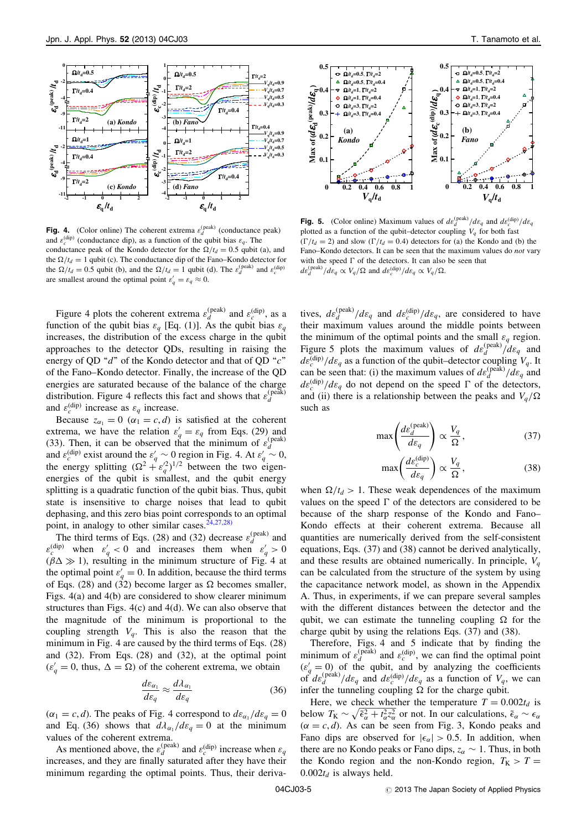

**Fig. 4.** (Color online) The coherent extrema  $\varepsilon_d^{\text{(peak)}}$  (conductance peak) and  $\varepsilon_c^{\text{(dip)}}$  (conductance dip), as a function of the qubit bias  $\varepsilon_a$ . The conductance peak of the Kondo detector for the  $\Omega/t_d = 0.5$  qubit (a), and the  $\Omega/t_c = 1$  qubit (c). The conductance din of the Eano, Kondo detector for the  $\Omega/t_d = 1$  qubit (c). The conductance dip of the Fano–Kondo detector for<br>the  $\Omega/t_c = 0.5$  qubit (b) and the  $\Omega/t_c = 1$  qubit (d). The s<sup>(peak)</sup> and s<sup>(dip)</sup> the  $\Omega/t_d = 0.5$  qubit (b), and the  $\Omega/t_d = 1$  qubit (d). The  $\varepsilon_d^{\text{(peak)}}$  and  $\varepsilon_c^{\text{(dip)}}$ are smallest around the optimal point  $\varepsilon'_q = \varepsilon_q \approx 0$ .

Figure 4 plots the coherent extrema  $\varepsilon_d^{\text{(peak)}}$  and  $\varepsilon_c^{\text{(dip)}}$ , as a function of the qubit bias  $\varepsilon_q$  [Eq. (1)]. As the qubit bias  $\varepsilon_q$ increases, the distribution of the excess charge in the qubit approaches to the detector QDs, resulting in raising the energy of QD " $d$ " of the Kondo detector and that of QD " $c$ " of the Fano–Kondo detector. Finally, the increase of the QD energies are saturated because of the balance of the charge distribution. Figure 4 reflects this fact and shows that  $\varepsilon_d^{\text{(peak)}}$ and  $\varepsilon_c^{\text{(dip)}}$  increase as  $\varepsilon_q$  increase.

Because  $z_{\alpha_1} = 0$  ( $\alpha_1 = c, d$ ) is satisfied at the coherent<br>trema, we have the relation  $s' = s$  from Eqs. (29) and extrema, we have the relation  $\varepsilon'_{q} = \varepsilon_{q}$  from Eqs. (29) and<br>(33) Then it can be observed that the minimum of  $\varepsilon^{(\text{peak})}$ (33). Then, it can be observed that the minimum of  $\varepsilon_d^{\text{(peak)}}$ and  $\varepsilon_c^{(\text{dip})}$  exist around the  $\varepsilon_q' \sim 0$  region in Fig. 4. At  $\varepsilon_q' \sim 0$ ,<br>the energy splitting  $(Q^2 + \varepsilon'^2)^{1/2}$  between the two eigenthe energy splitting  $(\Omega^2 + \varepsilon_q'^2)^{1/2}$  between the two eigen-<br>energies of the qubit is smallest, and the qubit energy energies of the qubit is smallest, and the qubit energy splitting is a quadratic function of the qubit bias. Thus, qubit state is insensitive to charge noises that lead to qubit dephasing, and this zero bias point corresponds to an optimal point, in analogy to other similar cases.  $2\overline{4}$ ,  $27,28$ )

The third terms of Eqs. (28) and (32) decrease  $\varepsilon_d^{\text{(peak)}}$  and  $\varepsilon_{q}^{(\text{dip})}$  when  $\varepsilon_{q}^{\prime} < 0$  and increases them when  $\varepsilon_{q}^{\prime} > 0$ <br>
(*BA*  $\gg$  1) resulting in the minimum structure of Fig 4 at  $(\beta \Delta \gg 1)$ , resulting in the minimum structure of Fig. 4 at the optimal point  $s' = 0$ . In addition, because the third terms the optimal point  $\varepsilon'_{q} = 0$ . In addition, because the third terms<br>of Eqs. (28) and (32) become larger as Q becomes smaller of Eqs. (28) and (32) become larger as  $\Omega$  becomes smaller,<br>Figs. 4(a) and 4(b) are considered to show clearer minimum Figs. 4(a) and 4(b) are considered to show clearer minimum structures than Figs. 4(c) and 4(d). We can also observe that the magnitude of the minimum is proportional to the coupling strength  $V_a$ . This is also the reason that the minimum in Fig. 4 are caused by the third terms of Eqs. (28) and (32). From Eqs. (28) and (32), at the optimal point  $(\varepsilon'_q = 0, \text{ thus, } \Delta = \Omega)$  of the coherent extrema, we obtain

$$
\frac{d\varepsilon_{\alpha_1}}{d\varepsilon_q} \approx \frac{d\lambda_{\alpha_1}}{d\varepsilon_q} \tag{36}
$$

 $(\alpha_1 = c, d)$ . The peaks of Fig. 4 correspond to  $d\varepsilon_{\alpha_1}/d\varepsilon_q = 0$ <br>and Eq. (36) shows that  $d\lambda/d\varepsilon_q = 0$  at the minimum and Eq. (36) shows that  $d\lambda_{\alpha_1}/d\varepsilon_q = 0$  at the minimum<br>values of the coherent extrema values of the coherent extrema.

As mentioned above, the  $\varepsilon_d^{\text{(peak)}}$  and  $\varepsilon_c^{\text{(dip)}}$  increase when  $\varepsilon_q$ increases, and they are finally saturated after they have their minimum regarding the optimal points. Thus, their deriva-



**Fig. 5.** (Color online) Maximum values of  $d\varepsilon_d^{\text{(peak)}}/d\varepsilon_q$  and  $d\varepsilon_c^{\text{(dip)}}/d\varepsilon_q$ plotted as a function of the qubit–detector coupling  $V_q$  for both fast  $(\Gamma/t_d = 2)$  and slow  $(\Gamma/t_d = 0.4)$  detectors for (a) the Kondo and (b) the Fano–Kondo detectors. It can be seen that the maximum values do not vary with the speed  $\Gamma$  of the detectors. It can also be seen that  $d\varepsilon_d^{\text{(peak)}}/d\varepsilon_q \propto V_q/\Omega$  and  $d\varepsilon_c^{\text{(dip)}}/d\varepsilon_q \propto V_q/\Omega$ .

tives,  $d\varepsilon_d^{\text{(peak)}}/d\varepsilon_q$  and  $d\varepsilon_c^{\text{(dip)}}/d\varepsilon_q$ , are considered to have their maximum values around the middle points between the minimum of the optimal points and the small  $\varepsilon_q$  region. Figure 5 plots the maximum values of  $d\varepsilon_d^{\text{(peak)}}/d\varepsilon_q$  and  $d\varepsilon_c^{\text{(dip)}}/d\varepsilon_q$  as a function of the qubit–detector coupling  $V_q$ . It can be seen that: (i) the maximum values of  $d\varepsilon_d^{\text{(peak)}}/d\varepsilon_q$  and  $d\varepsilon_c^{(\text{dip})}/d\varepsilon_a$  do not depend on the speed  $\Gamma$  of the detectors, and (ii) there is a relationship between the peaks and  $V_q/\Omega$ such as

$$
\max\left(\frac{d\varepsilon_d^{\text{(peak)}}}{d\varepsilon_q}\right) \propto \frac{V_q}{\Omega},\tag{37}
$$

$$
\max\left(\frac{d\varepsilon_c^{\text{(dip)}}}{d\varepsilon_q}\right) \propto \frac{V_q}{\Omega},\tag{38}
$$

when  $\Omega/t_d > 1$ . These weak dependences of the maximum<br>values on the speed  $\Gamma$  of the detectors are considered to be values on the speed  $\Gamma$  of the detectors are considered to be because of the sharp response of the Kondo and Fano– Kondo effects at their coherent extrema. Because all quantities are numerically derived from the self-consistent equations, Eqs. (37) and (38) cannot be derived analytically, and these results are obtained numerically. In principle,  $V_a$ can be calculated from the structure of the system by using the capacitance network model, as shown in the Appendix A. Thus, in experiments, if we can prepare several samples with the different distances between the detector and the qubit, we can estimate the tunneling coupling  $\Omega$  for the charge qubit by using the relations Eqs. (37) and (38) charge qubit by using the relations Eqs. (37) and (38).

Therefore, Figs. 4 and 5 indicate that by finding the minimum of  $\varepsilon_d^{\text{(peak)}}$  and  $\varepsilon_c^{\text{(dip)}}$ , we can find the optimal point  $(\varepsilon'_g = 0)$  of the qubit, and by analyzing the coefficients<br>of  $d\varepsilon^{(\text{peak})}/d\varepsilon$  and  $d\varepsilon^{(\text{dip})}/d\varepsilon$  as a function of V, we can of  $d\varepsilon_d^{\text{(peak)}}/d\varepsilon_q$  and  $d\varepsilon_c^{\text{(dip)}}/d\varepsilon_q$  as a function of  $V_q$ , we can infer the tunneling coupling  $\Omega$  for the charge qubit.<br>Here we check whether the temperature  $T = 0$ .

Here, we check whether the temperature  $T = 0.002t_d$  is below  $T_K \sim \sqrt{\tilde{\epsilon}_{\alpha}^2 + t_{\alpha}^2 z_{\alpha}^2}$  or not. In our calculations,  $\tilde{\epsilon}_{\alpha} \sim \epsilon_{\alpha}$ <br>( $\alpha = \epsilon$  d) As can be seen from Fig. 3. Kondo peaks and  $(\alpha = c, d)$ . As can be seen from Fig. 3, Kondo peaks and<br>Fano dins are observed for  $|c| > 0.5$ . In addition, when Fano dips are observed for  $|\epsilon_{\alpha}| > 0.5$ . In addition, when<br>there are no Kondo peaks or Fano dips  $z \approx 1$ . Thus in both there are no Kondo peaks or Fano dips,  $z_{\alpha} \sim 1$ . Thus, in both the Kondo region and the non-Kondo region  $T_{\alpha} \sim T$ the Kondo region and the non-Kondo region,  $T_K > T =$ va-  $0.002t_d$  is always held.<br>04CJ03-5  $\qquad\qquad\qquad\qquad\qquad\qquad\qquad\qquad$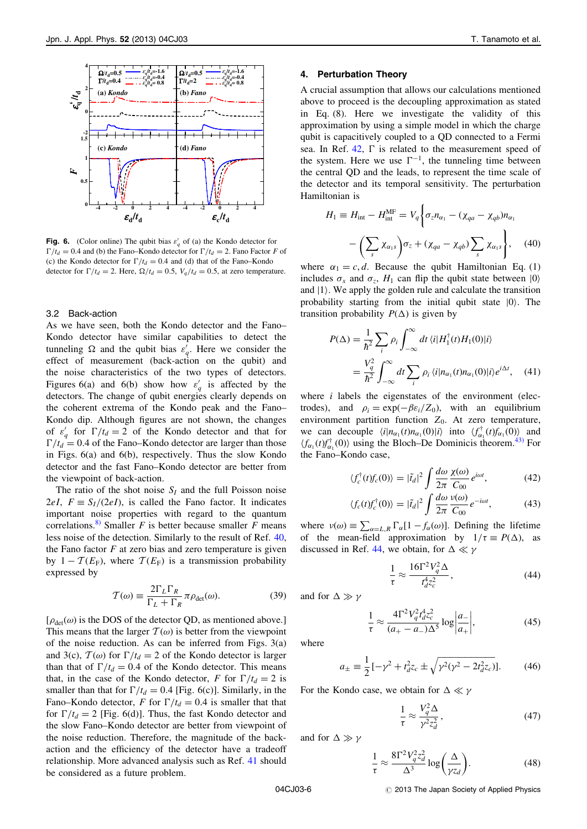

**Fig. 6.** (Color online) The qubit bias  $\varepsilon'_q$  of (a) the Kondo detector for  $\Gamma/t_d = 0.4$  and (b) the Fano–Kondo detector for  $\Gamma/t_d = 2$ . Fano Factor F of (c) the Kondo detector for  $\Gamma/t_d = 0.4$  and (d) that of the Fano–Kondo detector for  $\Gamma/t_d = 2$ . Here,  $\Omega/t_d = 0.5$ ,  $V_q/t_d = 0.5$ , at zero temperature.

#### 3.2 Back-action

As we have seen, both the Kondo detector and the Fano– Kondo detector have similar capabilities to detect the tunneling  $\Omega$  and the qubit bias  $\varepsilon'_{q}$ . Here we consider the effect of measurement (back-action on the qubit) and effect of measurement (back-action on the qubit) and the noise characteristics of the two types of detectors. Figures 6(a) and 6(b) show how  $\varepsilon'_q$  is affected by the detectors. The change of qubit energies clearly depends on the coherent extrema of the Kondo peak and the Fano– Kondo dip. Although figures are not shown, the changes of  $\varepsilon'_q$  for  $\Gamma/t_d = 2$  of the Kondo detector and that for  $\Gamma/t_d = 0.4$  of the Eano-Kondo detector are larger than those  $\Gamma/t_d = 0.4$  of the Fano–Kondo detector are larger than those in Figs. 6(a) and 6(b), respectively. Thus the slow Kondo detector and the fast Fano–Kondo detector are better from the viewpoint of back-action.

The ratio of the shot noise  $S_I$  and the full Poisson noise 2eI,  $F = S<sub>I</sub>/(2eI)$ , is called the Fano factor. It indicates important noise properties with regard to the quantum correlations.<sup>[8\)](#page-7-0)</sup> Smaller F is better because smaller F means less noise of the detection. Similarly to the result of Ref. [40](#page-7-0), the Fano factor  $F$  at zero bias and zero temperature is given by  $1 - \mathcal{T}(E_F)$ , where  $\mathcal{T}(E_F)$  is a transmission probability expressed by

$$
\mathcal{T}(\omega) \equiv \frac{2\Gamma_L \Gamma_R}{\Gamma_L + \Gamma_R} \pi \rho_{\text{det}}(\omega). \tag{39}
$$

 $[\rho_{\text{det}}(\omega)]$  is the DOS of the detector QD, as mentioned above.] This means that the larger  $T(\omega)$  is better from the viewpoint of the noise reduction. As can be inferred from Figs. 3(a) and 3(c),  $T(\omega)$  for  $\Gamma/t_d = 2$  of the Kondo detector is larger than that of  $\Gamma/t_d = 0.4$  of the Kondo detector. This means that, in the case of the Kondo detector, F for  $\Gamma/t_d = 2$  is smaller than that for  $\Gamma/t_d = 0.4$  [Fig. 6(c)]. Similarly, in the Fano–Kondo detector, F for  $\Gamma/t_d = 0.4$  is smaller that that for  $\Gamma/t_d = 2$  [Fig. 6(d)]. Thus, the fast Kondo detector and the slow Fano–Kondo detector are better from viewpoint of the noise reduction. Therefore, the magnitude of the backaction and the efficiency of the detector have a tradeoff relationship. More advanced analysis such as Ref. [41](#page-7-0) should be considered as a future problem.

## 4. Perturbation Theory

A crucial assumption that allows our calculations mentioned above to proceed is the decoupling approximation as stated in Eq. (8). Here we investigate the validity of this approximation by using a simple model in which the charge qubit is capacitively coupled to a QD connected to a Fermi sea. In Ref.  $42$ ,  $\Gamma$  is related to the measurement speed of the system. Here we use  $\Gamma^{-1}$ , the tunneling time between the central QD and the leads, to represent the time scale of the detector and its temporal sensitivity. The perturbation Hamiltonian is

$$
H_1 \equiv H_{int} - H_{int}^{\text{MF}} = V_q \bigg\{ \sigma_z n_{\alpha_1} - (\chi_{qa} - \chi_{qb}) n_{\alpha_1} - \bigg( \sum_s \chi_{\alpha_1 s} \bigg) \sigma_z + (\chi_{qa} - \chi_{qb}) \sum_s \chi_{\alpha_1 s} \bigg\}, \quad (40)
$$

where  $\alpha_1 = c, d$ . Because the qubit Hamiltonian Eq. (1) includes  $\sigma_x$  and  $\sigma_z$ ,  $H_1$  can flip the qubit state between  $|0\rangle$ and  $|1\rangle$ . We apply the golden rule and calculate the transition probability starting from the initial qubit state  $|0\rangle$ . The transition probability  $P(\Delta)$  is given by

$$
P(\Delta) = \frac{1}{\hbar^2} \sum_{i} \rho_i \int_{-\infty}^{\infty} dt \, \langle i | H_1^{\dagger}(t) H_1(0) | i \rangle
$$
  
= 
$$
\frac{V_q^2}{\hbar^2} \int_{-\infty}^{\infty} dt \sum_{i} \rho_i \, \langle i | n_{\alpha_1}(t) n_{\alpha_1}(0) | i \rangle e^{i\Delta t}, \quad (41)
$$

where  $i$  labels the eigenstates of the environment (electrodes), and  $\rho_i = \exp(-\beta \varepsilon_i / Z_0)$ , with an equilibrium<br>environment partition function  $Z_0$ . At zero temperature environment partition function  $Z_0$ . At zero temperature, we can decouple  $\langle i | n_{\alpha_1}(t) n_{\alpha_1}(0) | i \rangle$  into  $\langle f_{\alpha_1}^{\dagger}(t) f_{\alpha_1}(0) \rangle$  and  $\langle f_{\alpha_1}(t) f^{\dagger}(0) \rangle$  using the Bloch–De Dominicis theorem <sup>43</sup>) For  $\langle f_{\alpha_1}(t) f_{\alpha_1}^{\dagger}(0) \rangle$  using the Bloch–De Dominicis theorem.<sup>[43\)](#page-7-0)</sup> For<br>the Eano–Kondo case the Fano-Kondo case,

$$
\langle f_c^{\dagger}(t)f_c(0)\rangle = |\tilde{t}_d|^2 \int \frac{d\omega}{2\pi} \frac{\chi(\omega)}{C_{00}} e^{i\omega t},\tag{42}
$$

$$
\langle f_c(t)f_c^{\dagger}(0)\rangle = |\tilde{t}_d|^2 \int \frac{d\omega}{2\pi} \frac{v(\omega)}{C_{00}} e^{-i\omega t},\tag{43}
$$

where  $v(\omega) \equiv \sum_{\alpha=L,R} \Gamma_{\alpha}[1 - f_{\alpha}(\omega)]$ . Defining the lifetime of the mean-field approximation by  $1/\tau \equiv P(\Delta)$ , as discussed in Ref. [44,](#page-7-0) we obtain, for  $\Delta \ll \gamma$ 

$$
\frac{1}{\tau} \approx \frac{16\Gamma^2 V_q^2 \Delta}{t_d^4 z_c^2},\tag{44}
$$

and for  $\Delta \gg \gamma$ 

$$
\frac{1}{\tau} \approx \frac{4\Gamma^2 V_q^2 t_{d}^4 z_c^2}{(a_+ - a_-)\Delta^5} \log \left| \frac{a_-}{a_+} \right|,\tag{45}
$$

where

$$
a_{\pm} \equiv \frac{1}{2} \left[ -\gamma^2 + t_d^2 z_c \pm \sqrt{\gamma^2 (\gamma^2 - 2t_d^2 z_c)} \right].
$$
 (46)

For the Kondo case, we obtain for  $\Delta \ll \gamma$ 

$$
\frac{1}{\tau} \approx \frac{V_q^2 \Delta}{\gamma^2 z_d^2},\tag{47}
$$

and for  $\Delta \gg \gamma$ 

$$
\frac{1}{\tau} \approx \frac{8\Gamma^2 V_q^2 z_d^2}{\Delta^3} \log\left(\frac{\Delta}{\gamma z_d}\right). \tag{48}
$$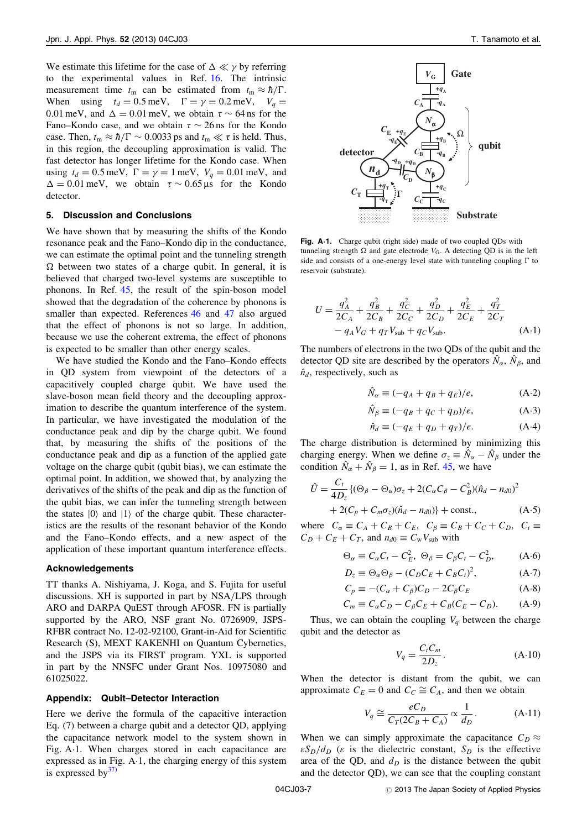We estimate this lifetime for the case of  $\Delta \ll \gamma$  by referring<br>to the experimental values in Ref. 16. The intrinsic to the experimental values in Ref. [16](#page-7-0). The intrinsic measurement time  $t_m$  can be estimated from  $t_m \approx \hbar / \Gamma$ . When using  $t_d = 0.5$  meV,  $\Gamma = \gamma = 0.2$  meV,  $V_q =$ 0.01 meV, and  $\Delta = 0.01$  meV, we obtain  $\tau \sim 64$  ns for the Fano–Kondo case, and we obtain  $\tau \sim 26$  ns for the Kondo case. Then,  $t_m \approx \hbar / \Gamma \sim 0.0033$  ps and  $t_m \ll \tau$  is held. Thus,<br>in this region, the decoupling approximation is valid. The in this region, the decoupling approximation is valid. The fast detector has longer lifetime for the Kondo case. When using  $t_d = 0.5$  meV,  $\Gamma = \gamma = 1$  meV,  $V_q = 0.01$  meV, and  $\Delta = 0.01$  meV, we obtain  $\tau \sim 0.65 \,\mu s$  for the Kondo detector.

## 5. Discussion and Conclusions

We have shown that by measuring the shifts of the Kondo resonance peak and the Fano–Kondo dip in the conductance, we can estimate the optimal point and the tunneling strength believed that charged two-level systems are susceptible to  $\Omega$  between two states of a charge qubit. In general, it is phonons. In Ref. [45](#page-7-0), the result of the spin-boson model showed that the degradation of the coherence by phonons is smaller than expected. References [46](#page-7-0) and [47](#page-7-0) also argued that the effect of phonons is not so large. In addition, because we use the coherent extrema, the effect of phonons is expected to be smaller than other energy scales.

We have studied the Kondo and the Fano–Kondo effects in QD system from viewpoint of the detectors of a capacitively coupled charge qubit. We have used the slave-boson mean field theory and the decoupling approximation to describe the quantum interference of the system. In particular, we have investigated the modulation of the conductance peak and dip by the charge qubit. We found that, by measuring the shifts of the positions of the conductance peak and dip as a function of the applied gate voltage on the charge qubit (qubit bias), we can estimate the optimal point. In addition, we showed that, by analyzing the derivatives of the shifts of the peak and dip as the function of the qubit bias, we can infer the tunneling strength between the states  $|0\rangle$  and  $|1\rangle$  of the charge qubit. These characteristics are the results of the resonant behavior of the Kondo and the Fano–Kondo effects, and a new aspect of the application of these important quantum interference effects.

## Acknowledgements

TT thanks A. Nishiyama, J. Koga, and S. Fujita for useful discussions. XH is supported in part by NSA/LPS through ARO and DARPA QuEST through AFOSR. FN is partially supported by the ARO, NSF grant No. 0726909, JSPS-RFBR contract No. 12-02-92100, Grant-in-Aid for Scientific Research (S), MEXT KAKENHI on Quantum Cybernetics, and the JSPS via its FIRST program. YXL is supported in part by the NNSFC under Grant Nos. 10975080 and 61025022.

#### Appendix: Qubit–Detector Interaction

Here we derive the formula of the capacitive interaction Eq. (7) between a charge qubit and a detector QD, applying the capacitance network model to the system shown in Fig. A1. When charges stored in each capacitance are expressed as in Fig.  $A-1$ , the charging energy of this system is expressed by $37$ 



Fig. A.1. Charge qubit (right side) made of two coupled QDs with tunneling strength Ω and gate electrode  $V_G$ . A detecting QD is in the left<br>side and consists of a one-energy level state with tunneling coupling  $\Gamma$  to side and consists of a one-energy level state with tunneling coupling  $\Gamma$  to reservoir (substrate).

$$
U = \frac{q_A^2}{2C_A} + \frac{q_B^2}{2C_B} + \frac{q_C^2}{2C_C} + \frac{q_D^2}{2C_D} + \frac{q_E^2}{2C_E} + \frac{q_T^2}{2C_T} - q_A V_G + q_T V_{\text{sub}} + q_C V_{\text{sub}}.
$$
 (A-1)

The numbers of electrons in the two QDs of the qubit and the detector QD site are described by the operators  $\hat{N}_{\alpha}$ ,  $\hat{N}_{\beta}$ , and  $\hat{n}_d$ , respectively, such as

$$
\hat{N}_{\alpha} \equiv (-q_A + q_B + q_E)/e, \tag{A-2}
$$

$$
\hat{N}_{\beta} \equiv (-q_B + q_C + q_D)/e,\tag{A-3}
$$

$$
\hat{n}_d \equiv (-q_E + q_D + q_T)/e. \tag{A-4}
$$

The charge distribution is determined by minimizing this charging energy. When we define  $\sigma_z = \hat{N}_{\alpha} - \hat{N}_{\beta}$  under the condition  $\hat{N}_{\alpha} + \hat{N}_{\alpha} = 1$  as in Ref. 45, we have condition  $\hat{N}_{\alpha} + \hat{N}_{\beta} = 1$ , as in Ref. [45](#page-7-0), we have

$$
\hat{U} = \frac{C_t}{4D_z} \{ (\Theta_\beta - \Theta_\alpha) \sigma_z + 2(C_\alpha C_\beta - C_B^2)(\hat{n}_d - n_{d0})^2 + 2(C_p + C_m \sigma_z)(\hat{n}_d - n_{d0}) \} + \text{const.},
$$
\n(A.5)

where  $C_{\alpha} \equiv C_A + C_B + C_E$ ,  $C_{\beta} \equiv C_B + C_C + C_D$ ,  $C_t \equiv C_B + C_E + C_E$  and  $n_B \equiv C_V V$ , with  $C_D + C_E + C_T$ , and  $n_{d0} \equiv C_w V_{sub}$  with

$$
\Theta_{\alpha} \equiv C_{\alpha}C_t - C_E^2, \ \Theta_{\beta} = C_{\beta}C_t - C_D^2, \tag{A-6}
$$

$$
D_z \equiv \Theta_\alpha \Theta_\beta - (C_D C_E + C_B C_t)^2, \tag{A-7}
$$

$$
C_p \equiv -(C_\alpha + C_\beta)C_D - 2C_\beta C_E \tag{A-8}
$$

$$
C_m \equiv C_{\alpha}C_D - C_{\beta}C_E + C_{\beta}(C_E - C_D). \tag{A-9}
$$

Thus, we can obtain the coupling  $V_q$  between the charge qubit and the detector as

$$
V_q = \frac{C_t C_m}{2D_z}.
$$
 (A·10)

When the detector is distant from the qubit, we can approximate  $C_E = 0$  and  $C_C \cong C_A$ , and then we obtain

$$
V_q \cong \frac{eC_D}{C_T(2C_B + C_A)} \propto \frac{1}{d_D}.
$$
 (A.11)

When we can simply approximate the capacitance  $C_D \approx$  $\epsilon S_D/d_D$  ( $\epsilon$  is the dielectric constant,  $S_D$  is the effective area of the QD, and  $d<sub>D</sub>$  is the distance between the qubit and the detector QD), we can see that the coupling constant